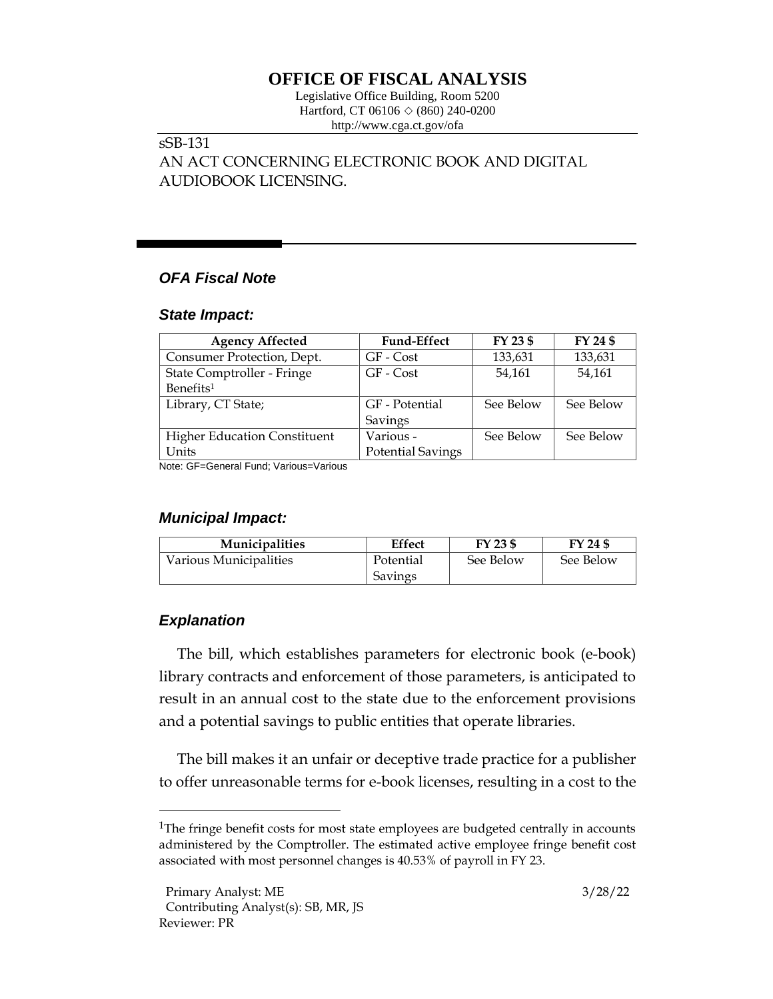# **OFFICE OF FISCAL ANALYSIS**

Legislative Office Building, Room 5200 Hartford, CT 06106  $\Diamond$  (860) 240-0200 http://www.cga.ct.gov/ofa

# sSB-131

AN ACT CONCERNING ELECTRONIC BOOK AND DIGITAL AUDIOBOOK LICENSING.

# *OFA Fiscal Note*

#### *State Impact:*

| <b>Agency Affected</b>              | <b>Fund-Effect</b>       | FY 23 \$  | FY 24 \$  |
|-------------------------------------|--------------------------|-----------|-----------|
| Consumer Protection, Dept.          | GF - Cost                | 133,631   | 133,631   |
| State Comptroller - Fringe          | GF - Cost                | 54.161    | 54,161    |
| Benefits <sup>1</sup>               |                          |           |           |
| Library, CT State;                  | GF - Potential           | See Below | See Below |
|                                     | Savings                  |           |           |
| <b>Higher Education Constituent</b> | Various -                | See Below | See Below |
| Units                               | <b>Potential Savings</b> |           |           |

Note: GF=General Fund; Various=Various

### *Municipal Impact:*

| <b>Municipalities</b>  | Effect    | FY 23 \$  | FY 24 \$  |
|------------------------|-----------|-----------|-----------|
| Various Municipalities | Potential | See Below | See Below |
|                        | Savings   |           |           |

### *Explanation*

The bill, which establishes parameters for electronic book (e-book) library contracts and enforcement of those parameters, is anticipated to result in an annual cost to the state due to the enforcement provisions and a potential savings to public entities that operate libraries.

The bill makes it an unfair or deceptive trade practice for a publisher to offer unreasonable terms for e-book licenses, resulting in a cost to the

<sup>&</sup>lt;sup>1</sup>The fringe benefit costs for most state employees are budgeted centrally in accounts administered by the Comptroller. The estimated active employee fringe benefit cost associated with most personnel changes is 40.53% of payroll in FY 23.